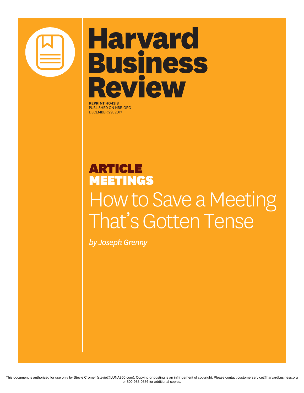

## **Harvard Business Review**

**REPRINT H043I8** PUBLISHED ON HBR.ORG DECEMBER 29, 2017

## ARTICLE MEETINGS How to Save a Meeting That's Gotten Tense

*by Joseph Grenny*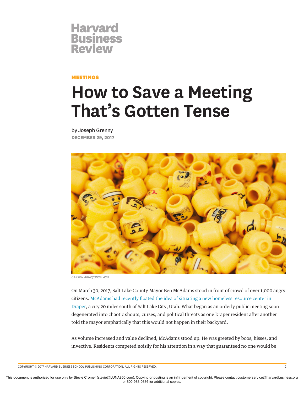

MEETINGS

## **How to Save a Meeting That's Gotten Tense**

by Joseph Grenny **DECEMBER 29, 2017**



*CARSON ARIAS/UNSPLASH*

On March 30, 2017, Salt Lake County Mayor Ben McAdams stood in front of crowd of over 1,000 angry citizens. McAdams had recently floated the idea of situating a new homeless resource center in [Draper](https://www.usnews.com/news/best-states/utah/articles/2017-03-30/despite-local-outrage-draper-could-house-homeless-shelter), a city 20 miles south of Salt Lake City, Utah. What began as an orderly public meeting soon degenerated into chaotic shouts, curses, and political threats as one Draper resident after another told the mayor emphatically that this would not happen in their backyard.

As volume increased and value declined, McAdams stood up. He was greeted by boos, hisses, and invective. Residents competed noisily for his attention in a way that guaranteed no one would be

COPYRIGHT © 2017 HARVARD BUSINESS SCHOOL PUBLISHING CORPORATION. ALL RIGHTS RESERVED. 2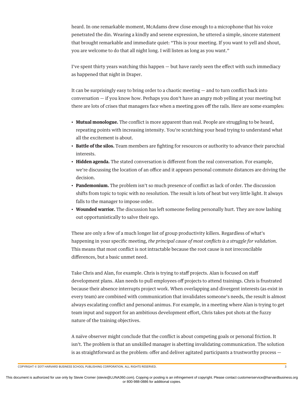heard. In one remarkable moment, McAdams drew close enough to a microphone that his voice penetrated the din. Wearing a kindly and serene expression, he uttered a simple, sincere statement that brought remarkable and immediate quiet: "This is your meeting. If you want to yell and shout, you are welcome to do that all night long. I will listen as long as you want."

I've spent thirty years watching this happen  $-$  but have rarely seen the effect with such immediacy as happened that night in Draper.

It can be surprisingly easy to bring order to a chaotic meeting  $-$  and to turn conflict back into conversation — if you know how. Perhaps you don't have an angry mob yelling at your meeting but there are lots of crises that managers face when a meeting goes off the rails. Here are some examples:

- **Mutual monologue.** The conflict is more apparent than real. People are struggling to be heard, repeating points with increasing intensity. You're scratching your head trying to understand what all the excitement is about.
- **Battle of the silos.** Team members are fighting for resources or authority to advance their parochial interests.
- Hidden agenda. The stated conversation is different from the real conversation. For example, we're discussing the location of an office and it appears personal commute distances are driving the decision.
- **Pandemonium.** The problem isn't so much presence of conflict as lack of order. The discussion shifts from topic to topic with no resolution. The result is lots of heat but very little light. It always falls to the manager to impose order.
- **Wounded warrior.** The discussion has left someone feeling personally hurt. They are now lashing out opportunistically to salve their ego.

These are only a few of a much longer list of group productivity killers. Regardless of what's happening in your specific meeting, *the principal cause of most conflicts is a struggle for validation.* This means that most conflict is not intractable because the root cause is not irreconcilable differences, but a basic unmet need.

Take Chris and Alan, for example. Chris is trying to staff projects. Alan is focused on staff development plans. Alan needs to pull employees off projects to attend trainings. Chris is frustrated because their absence interrupts project work. When overlapping and divergent interests (as exist in every team) are combined with communication that invalidates someone's needs, the result is almost always escalating conflict and personal animus. For example, in a meeting where Alan is trying to get team input and support for an ambitious development effort, Chris takes pot shots at the fuzzy nature of the training objectives.

A naïve observer might conclude that the conflict is about competing goals or personal friction. It isn't. The problem is that an unskilled manager is abetting invalidating communication. The solution is as straightforward as the problem: offer and deliver agitated participants a trustworthy process  $-$ 

COPYRIGHT © 2017 HARVARD BUSINESS SCHOOL PUBLISHING CORPORATION. ALL RIGHTS RESERVED. 3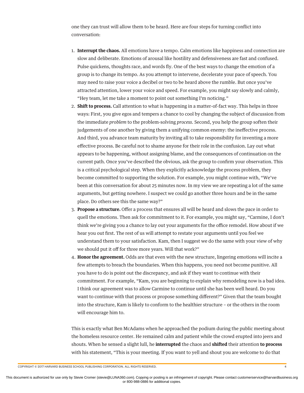one they can trust will allow them to be heard. Here are four steps for turning conflict into conversation:

- 1. **Interrupt the chaos.** All emotions have a tempo. Calm emotions like happiness and connection are slow and deliberate. Emotions of arousal like hostility and defensiveness are fast and confused. Pulse quickens, thoughts race, and words fly. One of the best ways to change the emotion of a group is to change its tempo. As you attempt to intervene, decelerate your pace of speech. You may need to raise your voice a decibel or two to be heard above the rumble. But once you've attracted attention, lower your voice and speed. For example, you might say slowly and calmly, "Hey team, let me take a moment to point out something I'm noticing."
- 2. **Shift to process.** Call attention to what is happening in a matter-of-fact way. This helps in three ways: First, you give egos and tempers a chance to cool by changing the subject of discussion from the immediate *problem* to the problem-solving *process*. Second, you help the group soften their judgements of one another by giving them a unifying common enemy: the ineffective process. And third, you advance team maturity by inviting all to take responsibility for inventing a more effective process. Be careful not to shame anyone for their role in the confusion. Lay out what appears to be happening, without assigning blame, and the consequences of continuation on the current path. Once you've described the obvious, ask the group to confirm your observation. This is a critical psychological step. When they explicitly acknowledge the process problem, they become committed to supporting the solution. For example, you might continue with, "We've been at this conversation for about 25 minutes now. In my view we are repeating a lot of the same arguments, but getting nowhere. I suspect we could go another three hours and be in the same place. Do others see this the same way?"
- 3. **Propose a structure.** Offer a process that ensures all will be heard and slows the pace in order to quell the emotions. Then ask for commitment to it. For example, you might say, "Carmine, I don't think we're giving you a chance to lay out your arguments for the office remodel. How about if we hear you out first. The rest of us will attempt to restate your arguments until you feel we understand them to your satisfaction. Kam, then I suggest we do the same with your view of why we should put it off for three more years. Will that work?"
- 4. **Honor the agreement.** Odds are that even with the new structure, lingering emotions will incite a few attempts to breach the boundaries. When this happens, you need not become punitive. All you have to do is point out the discrepancy, and ask if they want to continue with their commitment. For example, "Kam, you are beginning to explain why remodeling now is a bad idea. I think our agreement was to allow Carmine to continue until she has been well heard. Do you want to continue with that process or propose something different?" Given that the team bought into the structure, Kam is likely to conform to the healthier structure – or the others in the room will encourage him to.

This is exactly what Ben McAdams when he approached the podium during the public meeting about the homeless resource center. He remained calm and patient while the crowd erupted into jeers and shouts. When he sensed a slight lull, he **interrupted** the chaos and **shifted** their attention **to process** with his statement, "This is your meeting. If you want to yell and shout you are welcome to do that

COPYRIGHT © 2017 HARVARD BUSINESS SCHOOL PUBLISHING CORPORATION. ALL RIGHTS RESERVED. 4